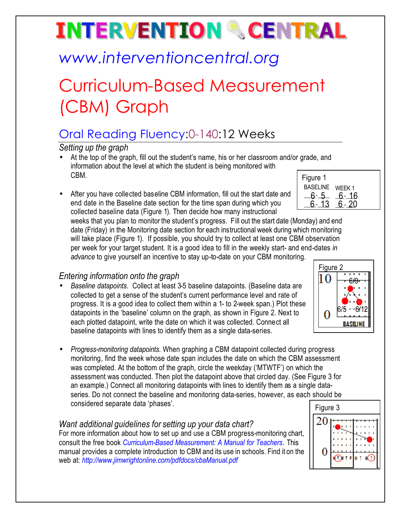# **INTERVENTION & CENTRAL**

## *www.interventioncentral.org*

## Curriculum-Based Measurement (CBM) Graph

### Oral Reading Fluency:0-140:12 Weeks

*Setting up the graph*

- At the top of the graph, fill out the student's name, his or her classroom and/or grade, and information about the level at which the student is being monitored with CBM.
- After you have collected baseline CBM information, fill out the start date and end date in the Baseline date section for the time span during which you collected baseline data (Figure 1). Then decide how many instructional

\_\_6.-13 <u>\_6.-20</u> 6-13 weeks that you plan to monitor the student's progress. Fill out the start date (Monday) and end date (Friday) in the Monitoring date section for each instructional week during which monitoring

will take place (Figure 1). If possible, you should try to collect at least one CBM observation per week for your target student. It is a good idea to fill in the weekly start- and end-dates *in advance* to give yourself an incentive to stay up-to-date on your CBM monitoring.

#### *Entering information onto the graph*

- *Baseline datapoints*. Collect at least 3-5 baseline datapoints. (Baseline data are collected to get a sense of the student's current performance level and rate of progress. It is a good idea to collect them within a 1- to 2-week span.) Plot these datapoints in the 'baseline' column on the graph, as shown in Figure 2. Next to each plotted datapoint, write the date on which it was collected. Connect all baseline datapoints with lines to identify them as a single data-series.
- *Progress-monitoring datapoints*. When graphing a CBM datapoint collected during progress monitoring, find the week whose date span includes the date on which the CBM assessment was completed. At the bottom of the graph, circle the weekday ('MTWTF') on which the assessment was conducted. Then plot the datapoint above that circled day. (See Figure 3 for an example.) Connect all monitoring datapoints with lines to identify them as a single dataseries. Do not connect the baseline and monitoring data-series, however, as each should be considered separate data 'phases'.

#### *Want additional guidelines for setting up your data chart?*

For more information about how to set up and use a CBM progress-monitoring chart, consult the free book *Curriculum-Based Measurement: A Manual for Teachers.* This manual provides a complete introduction to CBM and its use in schools. Find it on the web at: *http://www.jimwrightonline.com/pdfdocs/cbaManual.pdf*

| n should ne |          |  |  |  |
|-------------|----------|--|--|--|
|             | Figure 3 |  |  |  |
|             | Ζ        |  |  |  |
|             |          |  |  |  |
|             |          |  |  |  |
|             |          |  |  |  |

### Figure 2 10 6/9 6/5 6/12

| Figure 1 |        |
|----------|--------|
| BASELINE | WEEK 1 |
|          | 16     |
|          |        |
|          |        |